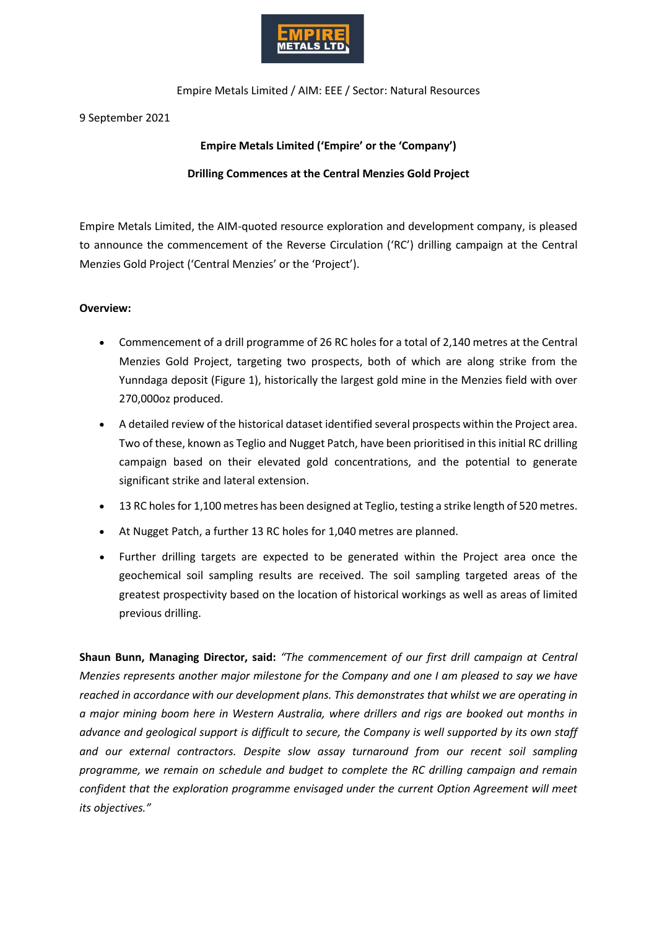

Empire Metals Limited / AIM: EEE / Sector: Natural Resources

9 September 2021

# **Empire Metals Limited ('Empire' or the 'Company') Drilling Commences at the Central Menzies Gold Project**

Empire Metals Limited, the AIM-quoted resource exploration and development company, is pleased to announce the commencement of the Reverse Circulation ('RC') drilling campaign at the Central Menzies Gold Project ('Central Menzies' or the 'Project').

## **Overview:**

- Commencement of a drill programme of 26 RC holes for a total of 2,140 metres at the Central Menzies Gold Project, targeting two prospects, both of which are along strike from the Yunndaga deposit (Figure 1), historically the largest gold mine in the Menzies field with over 270,000oz produced.
- A detailed review of the historical dataset identified several prospects within the Project area. Two of these, known as Teglio and Nugget Patch, have been prioritised in this initial RC drilling campaign based on their elevated gold concentrations, and the potential to generate significant strike and lateral extension.
- 13 RC holes for 1,100 metres has been designed at Teglio, testing a strike length of 520 metres.
- At Nugget Patch, a further 13 RC holes for 1,040 metres are planned.
- Further drilling targets are expected to be generated within the Project area once the geochemical soil sampling results are received. The soil sampling targeted areas of the greatest prospectivity based on the location of historical workings as well as areas of limited previous drilling.

**Shaun Bunn, Managing Director, said:** *"The commencement of our first drill campaign at Central Menzies represents another major milestone for the Company and one I am pleased to say we have reached in accordance with our development plans. This demonstrates that whilst we are operating in a major mining boom here in Western Australia, where drillers and rigs are booked out months in advance and geological support is difficult to secure, the Company is well supported by its own staff and our external contractors. Despite slow assay turnaround from our recent soil sampling programme, we remain on schedule and budget to complete the RC drilling campaign and remain confident that the exploration programme envisaged under the current Option Agreement will meet its objectives."*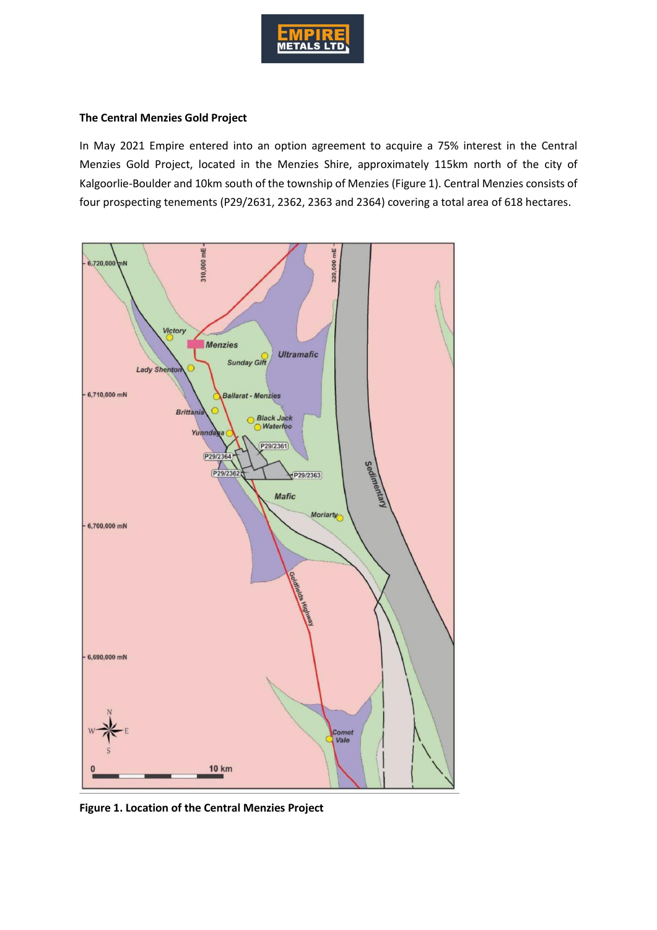

#### **The Central Menzies Gold Project**

In May 2021 Empire entered into an option agreement to acquire a 75% interest in the Central Menzies Gold Project, located in the Menzies Shire, approximately 115km north of the city of Kalgoorlie-Boulder and 10km south of the township of Menzies (Figure 1). Central Menzies consists of four prospecting tenements (P29/2631, 2362, 2363 and 2364) covering a total area of 618 hectares.



**Figure 1. Location of the Central Menzies Project**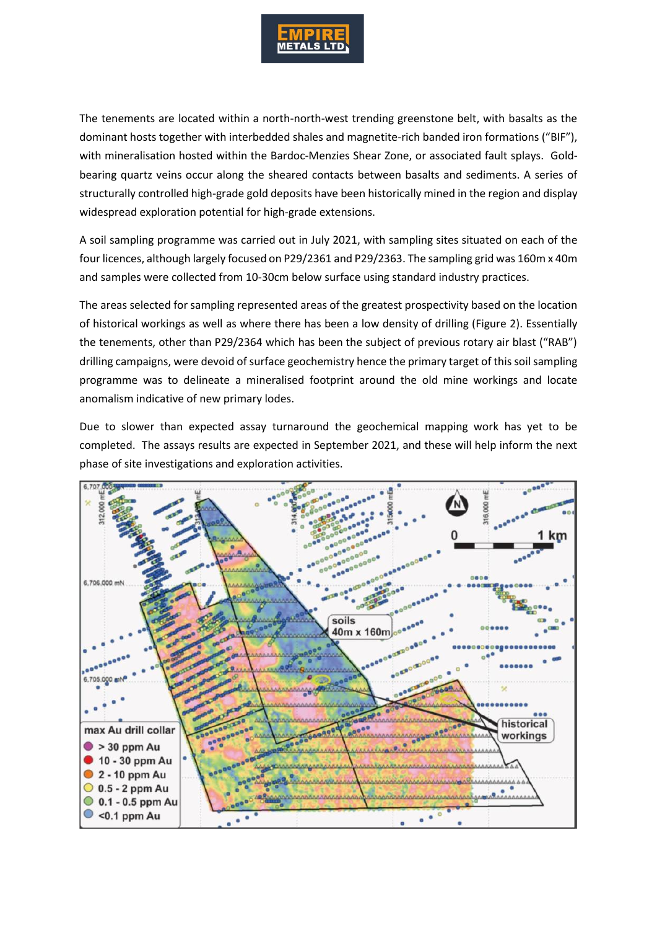

The tenements are located within a north-north-west trending greenstone belt, with basalts as the dominant hosts together with interbedded shales and magnetite-rich banded iron formations ("BIF"), with mineralisation hosted within the Bardoc-Menzies Shear Zone, or associated fault splays. Goldbearing quartz veins occur along the sheared contacts between basalts and sediments. A series of structurally controlled high-grade gold deposits have been historically mined in the region and display widespread exploration potential for high-grade extensions.

A soil sampling programme was carried out in July 2021, with sampling sites situated on each of the four licences, although largely focused on P29/2361 and P29/2363. The sampling grid was 160m x 40m and samples were collected from 10-30cm below surface using standard industry practices.

The areas selected for sampling represented areas of the greatest prospectivity based on the location of historical workings as well as where there has been a low density of drilling (Figure 2). Essentially the tenements, other than P29/2364 which has been the subject of previous rotary air blast ("RAB") drilling campaigns, were devoid of surface geochemistry hence the primary target of this soil sampling programme was to delineate a mineralised footprint around the old mine workings and locate anomalism indicative of new primary lodes.

Due to slower than expected assay turnaround the geochemical mapping work has yet to be completed. The assays results are expected in September 2021, and these will help inform the next phase of site investigations and exploration activities.